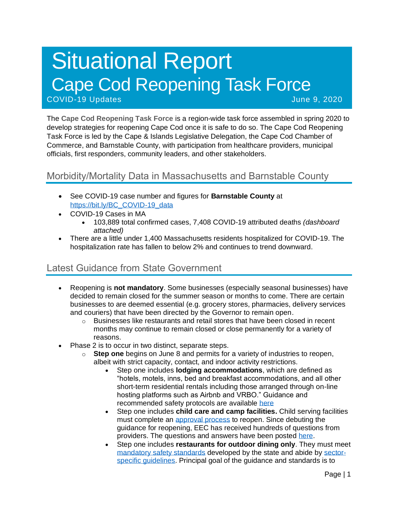# Situational Report Cape Cod Reopening Task Force COVID-19 Updates June 9, 2020

The **Cape Cod Reopening Task Force** is a region-wide task force assembled in spring 2020 to develop strategies for reopening Cape Cod once it is safe to do so. The Cape Cod Reopening Task Force is led by the Cape & Islands Legislative Delegation, the Cape Cod Chamber of Commerce, and Barnstable County, with participation from healthcare providers, municipal officials, first responders, community leaders, and other stakeholders.

# Morbidity/Mortality Data in Massachusetts and Barnstable County

- See COVID-19 case number and figures for **Barnstable County** at [https://bit.ly/BC\\_COVID-19\\_data](https://bit.ly/BC_COVID-19_data)
- COVID-19 Cases in MA
	- 103,889 total confirmed cases, 7,408 COVID-19 attributed deaths *(dashboard attached)*
- There are a little under 1,400 Massachusetts residents hospitalized for COVID-19. The hospitalization rate has fallen to below 2% and continues to trend downward.

# Latest Guidance from State Government

- Reopening is **not mandatory**. Some businesses (especially seasonal businesses) have decided to remain closed for the summer season or months to come. There are certain businesses to are deemed essential (e.g. grocery stores, pharmacies, delivery services and couriers) that have been directed by the Governor to remain open.
	- $\circ$  Businesses like restaurants and retail stores that have been closed in recent months may continue to remain closed or close permanently for a variety of reasons.
- Phase 2 is to occur in two distinct, separate steps.
	- o **Step one** begins on June 8 and permits for a variety of industries to reopen, albeit with strict capacity, contact, and indoor activity restrictions.
		- Step one includes **lodging accommodations**, which are defined as "hotels, motels, inns, bed and breakfast accommodations, and all other short-term residential rentals including those arranged through on-line hosting platforms such as Airbnb and VRBO." Guidance and recommended safety protocols are available [here](https://www.mass.gov/info-details/safety-standards-and-checklist-operators-of-lodgings)
		- Step one includes **child care and camp facilities.** Child serving facilities must complete an [approval process](https://eeclead.force.com/resource/1591618751000/ReopeningProcessOverview) to reopen. Since debuting the guidance for reopening, EEC has received hundreds of questions from providers. The questions and answers have been posted [here.](https://eeclead.force.com/resource/1591618750000/FAQ_Min_Req)
		- Step one includes **restaurants for outdoor dining only**. They must meet [mandatory safety standards](https://www.mass.gov/doc/restaurants-protocol-summary-english/download) developed by the state and abide by [sector](https://www.mass.gov/info-details/safety-standards-and-checklist-restaurants#quick-reference-documents-)[specific guidelines.](https://www.mass.gov/info-details/safety-standards-and-checklist-restaurants#quick-reference-documents-) Principal goal of the guidance and standards is to